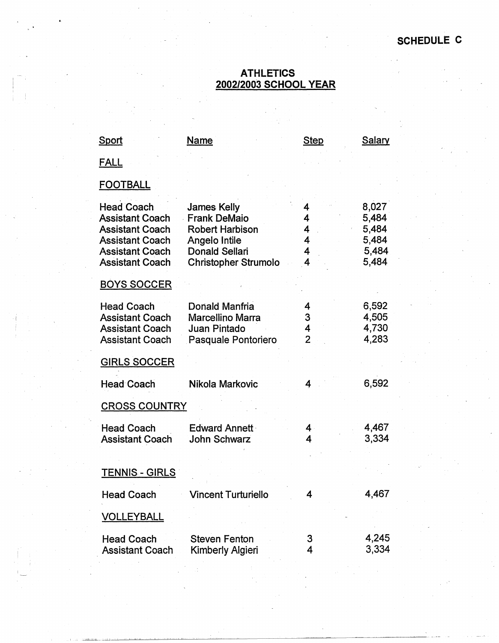## **ATHLETICS 2002/2003 SCHOOL YEAR**

| <b>Sport</b>                                                                                    | Name                                                                                 | <b>Step</b>                   | Salary                           |
|-------------------------------------------------------------------------------------------------|--------------------------------------------------------------------------------------|-------------------------------|----------------------------------|
| <u>FALL</u>                                                                                     |                                                                                      |                               |                                  |
| <b>FOOTBALL</b>                                                                                 |                                                                                      |                               |                                  |
| <b>Head Coach</b><br><b>Assistant Coach</b><br><b>Assistant Coach</b><br><b>Assistant Coach</b> | <b>James Kelly</b><br><b>Frank DeMaio</b><br><b>Robert Harbison</b><br>Angelo Intile | 4<br>4<br>4<br>$\overline{4}$ | 8,027<br>5,484<br>5,484<br>5,484 |
| <b>Assistant Coach</b><br><b>Assistant Coach</b>                                                | <b>Donald Sellari</b><br><b>Christopher Strumolo</b>                                 | 4<br>4                        | 5,484<br>5,484                   |
| <b>BOYS SOCCER</b>                                                                              |                                                                                      |                               |                                  |
| <b>Head Coach</b><br><b>Assistant Coach</b><br><b>Assistant Coach</b><br><b>Assistant Coach</b> | Donald Manfria<br><b>Marcellino Marra</b><br>Juan Pintado<br>Pasquale Pontoriero     | 4<br>3<br>4<br>$\overline{2}$ | 6,592<br>4,505<br>4,730<br>4,283 |
| <b>GIRLS SOCCER</b>                                                                             |                                                                                      |                               |                                  |
| <b>Head Coach</b>                                                                               | Nikola Markovic                                                                      | 4                             | 6,592                            |
| <b>CROSS COUNTRY</b>                                                                            |                                                                                      |                               |                                  |
| <b>Head Coach</b><br><b>Assistant Coach</b>                                                     | <b>Edward Annett</b><br><b>John Schwarz</b>                                          | 4<br>4                        | 4,467<br>3,334                   |
| <u>TENNIS - GIRLS</u>                                                                           |                                                                                      |                               |                                  |
| <b>Head Coach</b>                                                                               | <b>Vincent Turturiello</b>                                                           | 4                             | 4,467                            |
| <b>VOLLEYBALL</b>                                                                               |                                                                                      |                               |                                  |
| <b>Head Coach</b><br><b>Assistant Coach</b>                                                     | <b>Steven Fenton</b><br>Kimberly Algieri                                             | 3<br>4                        | 4,245<br>3,334                   |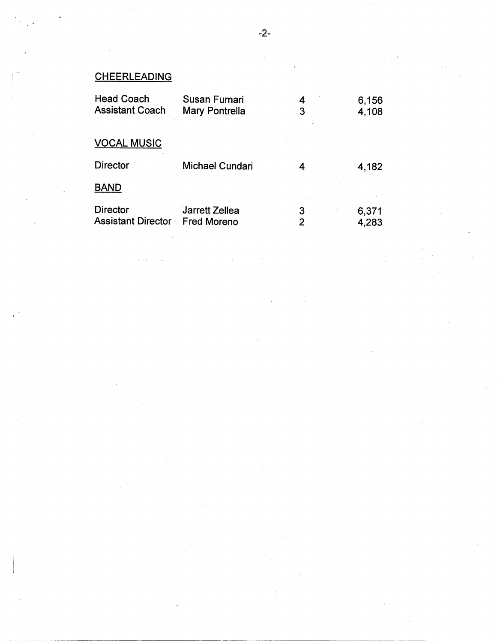## **CHEERLEADING**

| <b>Head Coach</b>         | Susan Furnari         | 4 | 6,156 |
|---------------------------|-----------------------|---|-------|
| <b>Assistant Coach</b>    | <b>Mary Pontrella</b> | 3 | 4,108 |
|                           |                       |   |       |
| <b>VOCAL MUSIC</b>        |                       |   |       |
| <b>Director</b>           | Michael Cundari       | 4 | 4,182 |
| <b>BAND</b>               |                       |   |       |
| Director                  | Jarrett Zellea        | 3 | 6,371 |
| <b>Assistant Director</b> | <b>Fred Moreno</b>    |   | 4,283 |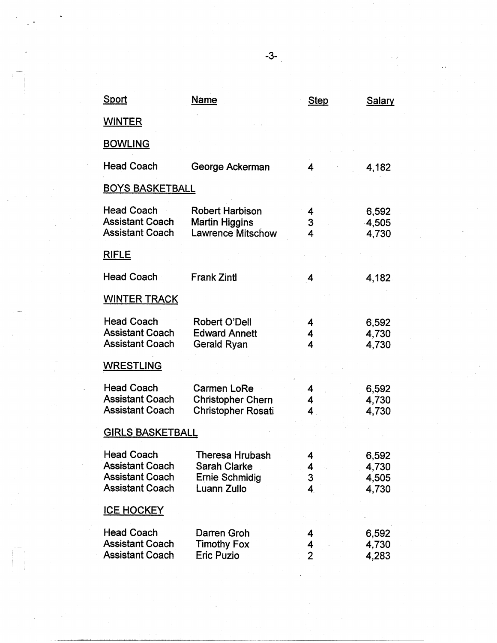| <u>Sport</u>                                                                                    | <u>Name</u>                                                                    | <b>Step</b>                       | <b>Salary</b>                    |
|-------------------------------------------------------------------------------------------------|--------------------------------------------------------------------------------|-----------------------------------|----------------------------------|
| <b>WINTER</b>                                                                                   |                                                                                |                                   |                                  |
| <b>BOWLING</b>                                                                                  |                                                                                |                                   |                                  |
| <b>Head Coach</b>                                                                               | George Ackerman                                                                | 4                                 | 4,182                            |
| <b>BOYS BASKETBALL</b>                                                                          |                                                                                |                                   |                                  |
| <b>Head Coach</b><br><b>Assistant Coach</b><br><b>Assistant Coach</b>                           | <b>Robert Harbison</b><br><b>Martin Higgins</b><br><b>Lawrence Mitschow</b>    | 4<br>3<br>$\overline{\mathbf{4}}$ | 6,592<br>4,505<br>4,730          |
| <b>RIFLE</b>                                                                                    |                                                                                |                                   |                                  |
| <b>Head Coach</b>                                                                               | <b>Frank Zintl</b>                                                             | 4                                 | 4,182                            |
| <b>WINTER TRACK</b>                                                                             |                                                                                |                                   |                                  |
| <b>Head Coach</b><br><b>Assistant Coach</b><br><b>Assistant Coach</b>                           | <b>Robert O'Dell</b><br><b>Edward Annett</b><br>Gerald Ryan                    | 4<br>4<br>$\overline{\mathbf{4}}$ | 6,592<br>4,730<br>4,730          |
| <b>WRESTLING</b>                                                                                |                                                                                |                                   |                                  |
| <b>Head Coach</b><br><b>Assistant Coach</b><br><b>Assistant Coach</b>                           | <b>Carmen LoRe</b><br><b>Christopher Chern</b><br><b>Christopher Rosati</b>    | 4<br>4<br>4                       | 6,592<br>4,730<br>4,730          |
| <u>GIRLS BASKETBALL</u>                                                                         |                                                                                |                                   |                                  |
| <b>Head Coach</b><br><b>Assistant Coach</b><br><b>Assistant Coach</b><br><b>Assistant Coach</b> | Theresa Hrubash<br><b>Sarah Clarke</b><br><b>Ernie Schmidig</b><br>Luann Zullo | 4<br>4<br>3<br>$\overline{4}$     | 6,592<br>4,730<br>4,505<br>4,730 |
| <b>ICE HOCKEY</b>                                                                               |                                                                                |                                   |                                  |
| <b>Head Coach</b><br><b>Assistant Coach</b><br><b>Assistant Coach</b>                           | Darren Groh<br><b>Timothy Fox</b><br><b>Eric Puzio</b>                         | 4<br>4<br>$\overline{2}$          | 6,592<br>4,730<br>4,283          |

 $\begin{bmatrix} 1 \\ 1 \\ 1 \end{bmatrix}$ 

-3-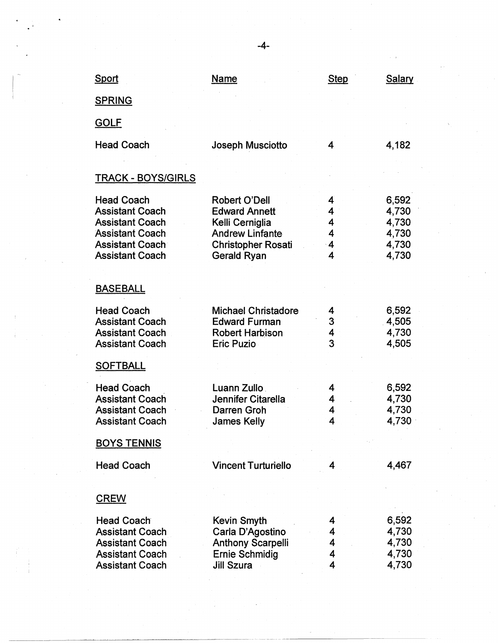| Sport                                                                                                                                               | <b>Name</b>                                                                                                                           | <b>Step</b>                | <b>Salary</b>                                      |
|-----------------------------------------------------------------------------------------------------------------------------------------------------|---------------------------------------------------------------------------------------------------------------------------------------|----------------------------|----------------------------------------------------|
| <b>SPRING</b>                                                                                                                                       |                                                                                                                                       |                            |                                                    |
| <b>GOLF</b>                                                                                                                                         |                                                                                                                                       |                            |                                                    |
| <b>Head Coach</b>                                                                                                                                   | Joseph Musciotto                                                                                                                      | 4                          | 4,182                                              |
|                                                                                                                                                     |                                                                                                                                       |                            |                                                    |
| <u> TRACK - BOYS/GIRLS</u>                                                                                                                          |                                                                                                                                       |                            |                                                    |
| <b>Head Coach</b><br><b>Assistant Coach</b><br><b>Assistant Coach</b><br><b>Assistant Coach</b><br><b>Assistant Coach</b><br><b>Assistant Coach</b> | <b>Robert O'Dell</b><br><b>Edward Annett</b><br>Kelli Cerniglia<br><b>Andrew Linfante</b><br><b>Christopher Rosati</b><br>Gerald Ryan | 4<br>4<br>4<br>4<br>4<br>4 | 6,592<br>4,730<br>4,730<br>4,730<br>4,730<br>4,730 |
| <b>BASEBALL</b>                                                                                                                                     |                                                                                                                                       |                            |                                                    |
| <b>Head Coach</b>                                                                                                                                   | <b>Michael Christadore</b>                                                                                                            | 4<br>3                     | 6,592                                              |
| <b>Assistant Coach</b><br><b>Assistant Coach</b>                                                                                                    | <b>Edward Furman</b><br><b>Robert Harbison</b>                                                                                        | 4                          | 4,505<br>4,730                                     |
| <b>Assistant Coach</b>                                                                                                                              | Eric Puzio                                                                                                                            | 3                          | 4,505                                              |
| <b>SOFTBALL</b>                                                                                                                                     |                                                                                                                                       |                            |                                                    |
| <b>Head Coach</b>                                                                                                                                   | Luann Zullo                                                                                                                           | 4                          | 6,592                                              |
| <b>Assistant Coach</b>                                                                                                                              | Jennifer Citarella                                                                                                                    | 4                          | 4,730                                              |
| <b>Assistant Coach</b><br><b>Assistant Coach</b>                                                                                                    | Darren Groh<br><b>James Kelly</b>                                                                                                     | 4<br>4                     | 4,730<br>4,730                                     |
|                                                                                                                                                     |                                                                                                                                       |                            |                                                    |
| <b>BOYS TENNIS</b>                                                                                                                                  |                                                                                                                                       |                            |                                                    |
| <b>Head Coach</b>                                                                                                                                   | <b>Vincent Turturiello</b>                                                                                                            | 4                          | 4,467                                              |
| <b>CREW</b>                                                                                                                                         |                                                                                                                                       |                            |                                                    |
|                                                                                                                                                     |                                                                                                                                       |                            |                                                    |
| <b>Head Coach</b><br><b>Assistant Coach</b>                                                                                                         | Kevin Smyth<br>Carla D'Agostino                                                                                                       | 4<br>4                     | 6,592<br>4,730                                     |
| <b>Assistant Coach</b>                                                                                                                              | <b>Anthony Scarpelli</b>                                                                                                              | 4                          | 4,730                                              |
| <b>Assistant Coach</b>                                                                                                                              | <b>Ernie Schmidig</b>                                                                                                                 | 4                          | 4,730                                              |
| <b>Assistant Coach</b>                                                                                                                              | <b>Jill Szura</b>                                                                                                                     | 4                          | 4,730                                              |
|                                                                                                                                                     |                                                                                                                                       |                            |                                                    |

--·-~------·--· ---------~

-4-

 $\frac{1}{2}$ 

 $\label{eq:2.1} \frac{1}{2}\sum_{i=1}^n\frac{1}{2}\sum_{j=1}^n\frac{1}{2}\sum_{j=1}^n\frac{1}{2}\sum_{j=1}^n\frac{1}{2}\sum_{j=1}^n\frac{1}{2}\sum_{j=1}^n\frac{1}{2}\sum_{j=1}^n\frac{1}{2}\sum_{j=1}^n\frac{1}{2}\sum_{j=1}^n\frac{1}{2}\sum_{j=1}^n\frac{1}{2}\sum_{j=1}^n\frac{1}{2}\sum_{j=1}^n\frac{1}{2}\sum_{j=1}^n\frac{1}{2}\sum_{j=1}^n\$ 

 $\label{eq:2.1} \begin{array}{l} \mathcal{E}_{\text{max}}(\mathbf{x}) = \mathbb{E}[\mathbf{x}^{\top} \mathbf{x}^{\top}] \\ \mathcal{E}_{\text{max}}(\mathbf{x}) = \mathbb{E}[\mathbf{x}^{\top} \mathbf{x}^{\top}] \end{array}$ 

 $\frac{1}{2} \left( \begin{array}{cc} 1 & 0 & 0 \\ 0 & 0 & 0 \\ 0 & 0 & 0 \end{array} \right) = \frac{1}{2} \left( \begin{array}{cc} 1 & 0 & 0 \\ 0 & 1 & 0 \\ 0 & 0 & 0 \\ 0 & 0 & 0 \end{array} \right)$ 

 $\frac{1}{4}$ 

 $\label{eq:2.1} \frac{1}{\sqrt{2}}\int_{\mathbb{R}^3}\left|\frac{d\mu}{d\mu}\right|^2\left|\frac{d\mu}{d\mu}\right|^2\left|\frac{d\mu}{d\mu}\right|^2\left|\frac{d\mu}{d\mu}\right|^2\left|\frac{d\mu}{d\mu}\right|^2\left|\frac{d\mu}{d\mu}\right|^2\left|\frac{d\mu}{d\mu}\right|^2.$